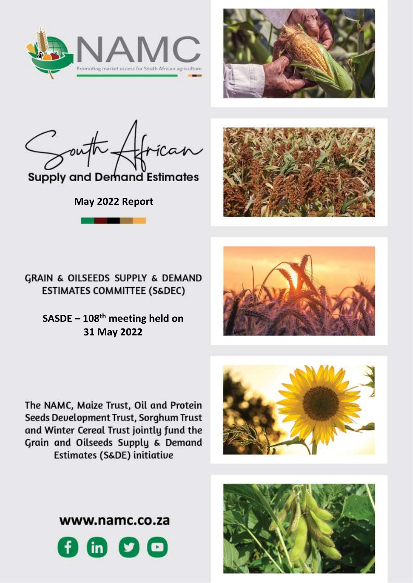



**Supply and Demand Estimates** 

**May 2022 Report**



GRAIN & OILSEEDS SUPPLY & DEMAND **ESTIMATES COMMITTEE (S&DEC)** 

> **SASDE – 108 th meeting held on 31 May 2022**



The NAMC, Maize Trust, Oil and Protein Seeds Development Trust, Sorghum Trust and Winter Cereal Trust jointly fund the Grain and Oilseeds Supply & Demand Estimates (S&DE) initiative





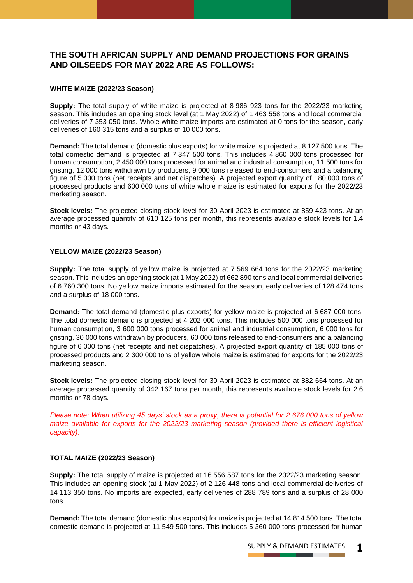# **THE SOUTH AFRICAN SUPPLY AND DEMAND PROJECTIONS FOR GRAINS AND OILSEEDS FOR MAY 2022 ARE AS FOLLOWS:**

## **WHITE MAIZE (2022/23 Season)**

**Supply:** The total supply of white maize is projected at 8 986 923 tons for the 2022/23 marketing season. This includes an opening stock level (at 1 May 2022) of 1 463 558 tons and local commercial deliveries of 7 353 050 tons. Whole white maize imports are estimated at 0 tons for the season, early deliveries of 160 315 tons and a surplus of 10 000 tons.

**Demand:** The total demand (domestic plus exports) for white maize is projected at 8 127 500 tons. The total domestic demand is projected at 7 347 500 tons. This includes 4 860 000 tons processed for human consumption, 2 450 000 tons processed for animal and industrial consumption, 11 500 tons for gristing, 12 000 tons withdrawn by producers, 9 000 tons released to end-consumers and a balancing figure of 5 000 tons (net receipts and net dispatches). A projected export quantity of 180 000 tons of processed products and 600 000 tons of white whole maize is estimated for exports for the 2022/23 marketing season.

**Stock levels:** The projected closing stock level for 30 April 2023 is estimated at 859 423 tons. At an average processed quantity of 610 125 tons per month, this represents available stock levels for 1.4 months or 43 days.

## **YELLOW MAIZE (2022/23 Season)**

**Supply:** The total supply of yellow maize is projected at 7 569 664 tons for the 2022/23 marketing season. This includes an opening stock (at 1 May 2022) of 662 890 tons and local commercial deliveries of 6 760 300 tons. No yellow maize imports estimated for the season, early deliveries of 128 474 tons and a surplus of 18 000 tons.

**Demand:** The total demand (domestic plus exports) for yellow maize is projected at 6 687 000 tons. The total domestic demand is projected at 4 202 000 tons. This includes 500 000 tons processed for human consumption, 3 600 000 tons processed for animal and industrial consumption, 6 000 tons for gristing, 30 000 tons withdrawn by producers, 60 000 tons released to end-consumers and a balancing figure of 6 000 tons (net receipts and net dispatches). A projected export quantity of 185 000 tons of processed products and 2 300 000 tons of yellow whole maize is estimated for exports for the 2022/23 marketing season.

**Stock levels:** The projected closing stock level for 30 April 2023 is estimated at 882 664 tons. At an average processed quantity of 342 167 tons per month, this represents available stock levels for 2.6 months or 78 days.

*Please note: When utilizing 45 days' stock as a proxy, there is potential for 2 676 000 tons of yellow maize available for exports for the 2022/23 marketing season (provided there is efficient logistical capacity).* 

## **TOTAL MAIZE (2022/23 Season)**

**Supply:** The total supply of maize is projected at 16 556 587 tons for the 2022/23 marketing season. This includes an opening stock (at 1 May 2022) of 2 126 448 tons and local commercial deliveries of 14 113 350 tons. No imports are expected, early deliveries of 288 789 tons and a surplus of 28 000 tons.

**Demand:** The total demand (domestic plus exports) for maize is projected at 14 814 500 tons. The total domestic demand is projected at 11 549 500 tons. This includes 5 360 000 tons processed for human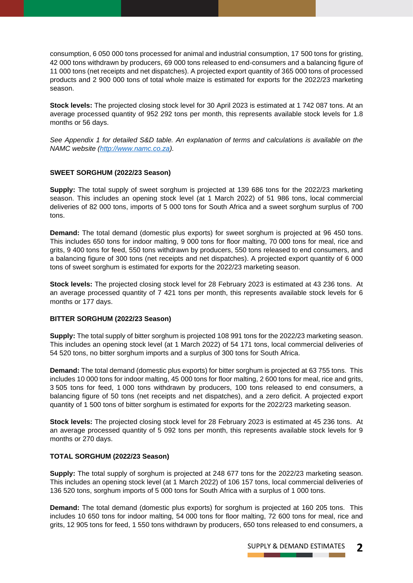consumption, 6 050 000 tons processed for animal and industrial consumption, 17 500 tons for gristing, 42 000 tons withdrawn by producers, 69 000 tons released to end-consumers and a balancing figure of 11 000 tons (net receipts and net dispatches). A projected export quantity of 365 000 tons of processed products and 2 900 000 tons of total whole maize is estimated for exports for the 2022/23 marketing season.

**Stock levels:** The projected closing stock level for 30 April 2023 is estimated at 1 742 087 tons. At an average processed quantity of 952 292 tons per month, this represents available stock levels for 1.8 months or 56 days.

*See Appendix 1 for detailed S&D table. An explanation of terms and calculations is available on the NAMC website [\(http://www.namc.co.za\)](http://www.namc.co.za/).*

## **SWEET SORGHUM (2022/23 Season)**

**Supply:** The total supply of sweet sorghum is projected at 139 686 tons for the 2022/23 marketing season. This includes an opening stock level (at 1 March 2022) of 51 986 tons, local commercial deliveries of 82 000 tons, imports of 5 000 tons for South Africa and a sweet sorghum surplus of 700 tons.

**Demand:** The total demand (domestic plus exports) for sweet sorghum is projected at 96 450 tons. This includes 650 tons for indoor malting, 9 000 tons for floor malting, 70 000 tons for meal, rice and grits, 9 400 tons for feed, 550 tons withdrawn by producers, 550 tons released to end consumers, and a balancing figure of 300 tons (net receipts and net dispatches). A projected export quantity of 6 000 tons of sweet sorghum is estimated for exports for the 2022/23 marketing season.

**Stock levels:** The projected closing stock level for 28 February 2023 is estimated at 43 236 tons. At an average processed quantity of 7 421 tons per month, this represents available stock levels for 6 months or 177 days.

## **BITTER SORGHUM (2022/23 Season)**

**Supply:** The total supply of bitter sorghum is projected 108 991 tons for the 2022/23 marketing season. This includes an opening stock level (at 1 March 2022) of 54 171 tons, local commercial deliveries of 54 520 tons, no bitter sorghum imports and a surplus of 300 tons for South Africa.

**Demand:** The total demand (domestic plus exports) for bitter sorghum is projected at 63 755 tons. This includes 10 000 tons for indoor malting, 45 000 tons for floor malting, 2 600 tons for meal, rice and grits, 3 505 tons for feed, 1 000 tons withdrawn by producers, 100 tons released to end consumers, a balancing figure of 50 tons (net receipts and net dispatches), and a zero deficit. A projected export quantity of 1 500 tons of bitter sorghum is estimated for exports for the 2022/23 marketing season.

**Stock levels:** The projected closing stock level for 28 February 2023 is estimated at 45 236 tons. At an average processed quantity of 5 092 tons per month, this represents available stock levels for 9 months or 270 days.

## **TOTAL SORGHUM (2022/23 Season)**

**Supply:** The total supply of sorghum is projected at 248 677 tons for the 2022/23 marketing season. This includes an opening stock level (at 1 March 2022) of 106 157 tons, local commercial deliveries of 136 520 tons, sorghum imports of 5 000 tons for South Africa with a surplus of 1 000 tons.

**Demand:** The total demand (domestic plus exports) for sorghum is projected at 160 205 tons. This includes 10 650 tons for indoor malting, 54 000 tons for floor malting, 72 600 tons for meal, rice and grits, 12 905 tons for feed, 1 550 tons withdrawn by producers, 650 tons released to end consumers, a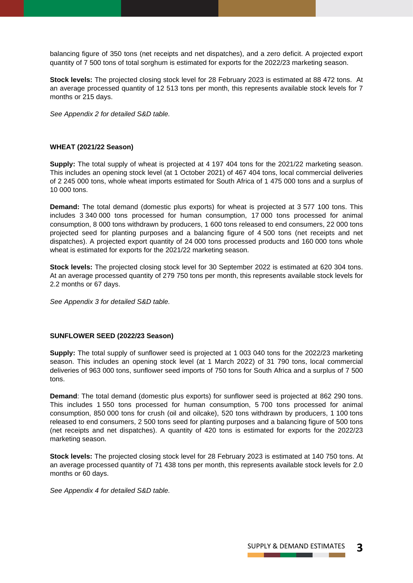balancing figure of 350 tons (net receipts and net dispatches), and a zero deficit. A projected export quantity of 7 500 tons of total sorghum is estimated for exports for the 2022/23 marketing season.

**Stock levels:** The projected closing stock level for 28 February 2023 is estimated at 88 472 tons. At an average processed quantity of 12 513 tons per month, this represents available stock levels for 7 months or 215 days.

*See Appendix 2 for detailed S&D table.*

# **WHEAT (2021/22 Season)**

**Supply:** The total supply of wheat is projected at 4 197 404 tons for the 2021/22 marketing season. This includes an opening stock level (at 1 October 2021) of 467 404 tons, local commercial deliveries of 2 245 000 tons, whole wheat imports estimated for South Africa of 1 475 000 tons and a surplus of 10 000 tons.

**Demand:** The total demand (domestic plus exports) for wheat is projected at 3 577 100 tons. This includes 3 340 000 tons processed for human consumption, 17 000 tons processed for animal consumption, 8 000 tons withdrawn by producers, 1 600 tons released to end consumers, 22 000 tons projected seed for planting purposes and a balancing figure of 4 500 tons (net receipts and net dispatches). A projected export quantity of 24 000 tons processed products and 160 000 tons whole wheat is estimated for exports for the 2021/22 marketing season.

**Stock levels:** The projected closing stock level for 30 September 2022 is estimated at 620 304 tons. At an average processed quantity of 279 750 tons per month, this represents available stock levels for 2.2 months or 67 days.

*See Appendix 3 for detailed S&D table.*

## **SUNFLOWER SEED (2022/23 Season)**

**Supply:** The total supply of sunflower seed is projected at 1 003 040 tons for the 2022/23 marketing season. This includes an opening stock level (at 1 March 2022) of 31 790 tons, local commercial deliveries of 963 000 tons, sunflower seed imports of 750 tons for South Africa and a surplus of 7 500 tons.

**Demand**: The total demand (domestic plus exports) for sunflower seed is projected at 862 290 tons. This includes 1 550 tons processed for human consumption, 5 700 tons processed for animal consumption, 850 000 tons for crush (oil and oilcake), 520 tons withdrawn by producers, 1 100 tons released to end consumers, 2 500 tons seed for planting purposes and a balancing figure of 500 tons (net receipts and net dispatches). A quantity of 420 tons is estimated for exports for the 2022/23 marketing season.

**Stock levels:** The projected closing stock level for 28 February 2023 is estimated at 140 750 tons. At an average processed quantity of 71 438 tons per month, this represents available stock levels for 2.0 months or 60 days.

*See Appendix 4 for detailed S&D table.*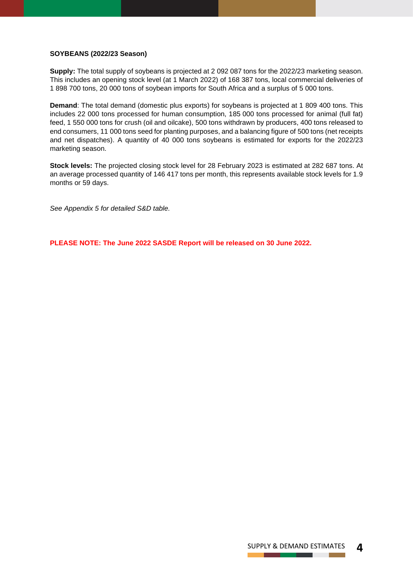### **SOYBEANS (2022/23 Season)**

**Supply:** The total supply of soybeans is projected at 2 092 087 tons for the 2022/23 marketing season. This includes an opening stock level (at 1 March 2022) of 168 387 tons, local commercial deliveries of 1 898 700 tons, 20 000 tons of soybean imports for South Africa and a surplus of 5 000 tons.

**Demand**: The total demand (domestic plus exports) for soybeans is projected at 1 809 400 tons. This includes 22 000 tons processed for human consumption, 185 000 tons processed for animal (full fat) feed, 1 550 000 tons for crush (oil and oilcake), 500 tons withdrawn by producers, 400 tons released to end consumers, 11 000 tons seed for planting purposes, and a balancing figure of 500 tons (net receipts and net dispatches). A quantity of 40 000 tons soybeans is estimated for exports for the 2022/23 marketing season.

**Stock levels:** The projected closing stock level for 28 February 2023 is estimated at 282 687 tons. At an average processed quantity of 146 417 tons per month, this represents available stock levels for 1.9 months or 59 days.

*See Appendix 5 for detailed S&D table.*

**PLEASE NOTE: The June 2022 SASDE Report will be released on 30 June 2022.**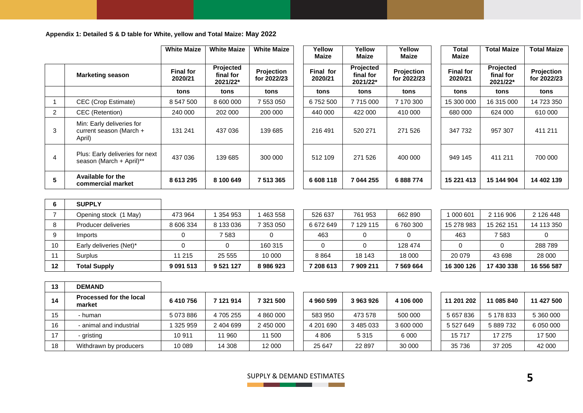**Appendix 1: Detailed S & D table for White, yellow and Total Maize: May 2022**

|   |                                                                | <b>White Maize</b>          | <b>White Maize</b>                 | <b>White Maize</b>        | Yellow<br><b>Maize</b> | Yellow<br>Maize                    | Yellow<br><b>Maize</b>    | Total<br><b>Maize</b>       | <b>Total Maize</b>                 | Total Maize               |
|---|----------------------------------------------------------------|-----------------------------|------------------------------------|---------------------------|------------------------|------------------------------------|---------------------------|-----------------------------|------------------------------------|---------------------------|
|   | <b>Marketing season</b>                                        | <b>Final for</b><br>2020/21 | Projected<br>final for<br>2021/22* | Projection<br>for 2022/23 | Final for<br>2020/21   | Projected<br>final for<br>2021/22* | Projection<br>for 2022/23 | <b>Final for</b><br>2020/21 | Projected<br>final for<br>2021/22* | Projection<br>for 2022/23 |
|   |                                                                | tons                        | tons                               | tons                      | tons                   | tons                               | tons                      | tons                        | tons                               | tons                      |
|   | CEC (Crop Estimate)                                            | 8 547 500                   | 8 600 000                          | 7 553 050                 | 6752500                | 7715000                            | 7 170 300                 | 15 300 000                  | 16 315 000                         | 14 723 350                |
| 2 | CEC (Retention)                                                | 240 000                     | 202 000                            | 200 000                   | 440 000                | 422 000                            | 410 000                   | 680 000                     | 624 000                            | 610 000                   |
| 3 | Min: Early deliveries for<br>current season (March +<br>April) | 131 241                     | 437 036                            | 139 685                   | 216 491                | 520 271                            | 271 526                   | 347 732                     | 957 307                            | 411 211                   |
| 4 | Plus: Early deliveries for next<br>season (March + April)**    | 437 036                     | 139 685                            | 300 000                   | 512 109                | 271 526                            | 400 000                   | 949 145                     | 411 211                            | 700 000                   |
| 5 | Available for the<br>commercial market                         | 8 613 295                   | 8 100 649                          | 7 513 365                 | 6 608 118              | 7 044 255                          | 6888774                   | 15 221 413                  | 15 144 904                         | 14 402 139                |

|         | <b>SUPPLY</b>           |               |             |           |           |           |           |            |            |            |
|---------|-------------------------|---------------|-------------|-----------|-----------|-----------|-----------|------------|------------|------------|
|         | Opening stock (1 May)   | 473 964       | 1354953     | 463 558   | 526 637   | 761 953   | 662 890   | 000 601    | 2 116 906  | 2 126 448  |
|         | Producer deliveries     | 8 606 334     | 8 133 036   | 7 353 050 | 6672649   | 7 129 115 | 6 760 300 | 15 278 983 | 15 262 151 | 14 113 350 |
|         | Imports                 |               | 7 583       |           | 463       |           |           | 463        | 7583       |            |
| 10      | Early deliveries (Net)* |               |             | 160 315   |           |           | 128 474   |            |            | 288 789    |
|         | Surplus                 | 11 215        | 25 555      | 10 000    | 8864      | 18 143    | 18 000    | 20 079     | 43 698     | 28 000     |
| $12 \,$ | <b>Total Supply</b>     | 9 0 9 1 5 1 3 | 9 5 21 1 27 | 8986923   | 7 208 613 | 7909211   | 7 569 664 | 16 300 126 | 17 430 338 | 16 556 587 |

| 16 300 126 | 17 430 338 | 16 556 587 |
|------------|------------|------------|
| 20 079     | 43 698     | 28 000     |
|            |            | 288 789    |
| 463        | 7583       |            |
| 15 278 983 | 15 262 151 | 14 113 350 |
| 1 000 601  | 2 116 906  | 2 126 448  |

| 13 | <b>DEMAND</b>                     |           |           |           |           |           |           |            |            |  |
|----|-----------------------------------|-----------|-----------|-----------|-----------|-----------|-----------|------------|------------|--|
| 14 | Processed for the local<br>market | 6410756   | 7 121 914 | 7 321 500 | 4960599   | 3963926   | 4 106 000 | 11 201 202 | 11 085 840 |  |
| 15 | - human                           | 5 073 886 | 4 705 255 | 4 860 000 | 583 950   | 473 578   | 500 000   | 5 657 836  | 5 178 833  |  |
| 16 | - animal and industrial           | 325 959   | 2 404 699 | 2 450 000 | 4 201 690 | 3 485 033 | 3 600 000 | 5 527 649  | 5 889 732  |  |
| 17 | - gristing                        | 10911     | 11 960    | 11 500    | 4806      | 5315      | 6 0 0 0   | 15717      | 17 275     |  |
| 18 | Withdrawn by producers            | 10 089    | 14 308    | 12 000    | 25 647    | 22 8 9 7  | 30 000    | 35 736     | 37 205     |  |

| 4960599   | 3963926 | 4 106 000 |
|-----------|---------|-----------|
| 583 950   | 473 578 | 500 000   |
| 4 201 690 | 3485033 | 3 600 000 |
| 4806      | 5315    | 6 000     |
| 25 647    | 22897   | 30 000    |

| 11 201 202 | 11 085 840 | 11 427 500 |
|------------|------------|------------|
| 5 657 836  | 5 178 833  | 5 360 000  |
| 5 527 649  | 5 889 732  | 6 050 000  |
| 15717      | 17 275     | 17 500     |
| 35 736     | 37 205     | 42 000     |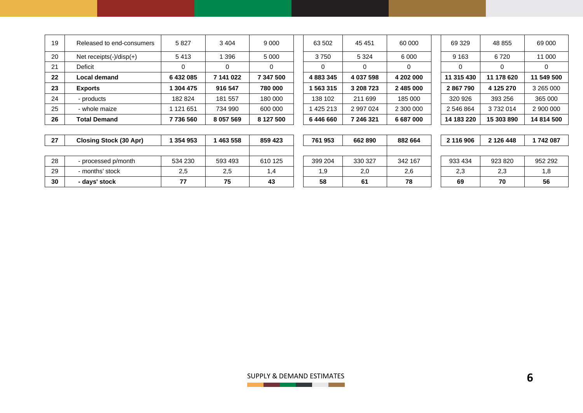| 19 | Released to end-consumers      | 5827      | 3 4 0 4       | 9 0 0 0   | 63 502    | 45 451    | 60 000    | 69 329     | 48 855     | 69 000     |
|----|--------------------------------|-----------|---------------|-----------|-----------|-----------|-----------|------------|------------|------------|
| 20 | Net receipts $(-)/$ disp $(+)$ | 5413      | 396           | 5 0 0 0   | 3750      | 5 3 2 4   | 6 0 0 0   | 9 1 6 3    | 6720       | 11 000     |
| 21 | Deficit                        | 0         |               |           |           |           | 0         | 0          |            | 0          |
| 22 | Local demand                   | 6432085   | 7 141 022     | 7 347 500 | 4 883 345 | 4 037 598 | 4 202 000 | 11 315 430 | 11 178 620 | 11 549 500 |
| 23 | <b>Exports</b>                 | 304 475   | 916 547       | 780 000   | 563 315   | 3 208 723 | 2 485 000 | 2867790    | 4 125 270  | 3 265 000  |
| 24 | - products                     | 182 824   | 181 557       | 180 000   | 138 102   | 211 699   | 185 000   | 320 926    | 393 256    | 365 000    |
| 25 | - whole maize                  | 1 121 651 | 734 990       | 600 000   | 425 213   | 2 997 024 | 2 300 000 | 2 546 864  | 3732014    | 2 900 000  |
| 26 | <b>Total Demand</b>            | 7736560   | 8 0 5 7 5 6 9 | 8 127 500 | 6446660   | 7 246 321 | 6 687 000 | 14 183 220 | 15 303 890 | 14 814 500 |

| 27 | <b>Closing Stock (30 Apr)</b> | 354 953 | 463 558 | 859 423 | 761 953 | 662890  | 882 664 | 2 116 906 | 2 126 448 | 742 087 |
|----|-------------------------------|---------|---------|---------|---------|---------|---------|-----------|-----------|---------|
|    |                               |         |         |         |         |         |         |           |           |         |
| 28 | - processed p/month           | 534 230 | 593 493 | 610 125 | 399 204 | 330 327 | 342 167 | 933 434   | 923 820   | 952 292 |
| 29 | - months' stock               | 2,5     | 2,5     |         | 9. ا    | 2,0     | 2,6     | 2,3       | 2,3       | 1.8     |
| 30 | - days' stock                 | 77      | 75      | 43      | 58      | 61      | 78      | 69        | 70        | 56      |

| 761 953 | 662890  | 882 664 |  |  |  |  |
|---------|---------|---------|--|--|--|--|
|         |         |         |  |  |  |  |
| 399 204 | 330 327 | 342 167 |  |  |  |  |
| 1.9     | 2,0     | 2,6     |  |  |  |  |
| 58      | 61      | 78      |  |  |  |  |

| 2 116 906 | 2 126 448 | 1742087 |
|-----------|-----------|---------|
|           |           |         |
| 933 434   | 923820    | 952 292 |
| 2.3       | 2.3       | 1.8     |
| 69        | 70        | 56      |

SUPPLY & DEMAND ESTIMATES **6**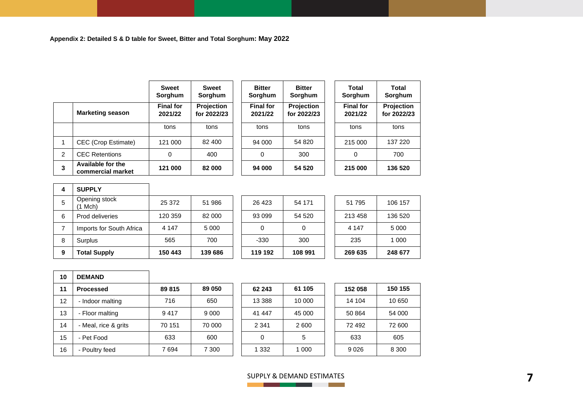|                |                                        | <b>Sweet</b><br>Sorghum     | <b>Sweet</b><br>Sorghum   | <b>Bitter</b><br>Sorghum    | <b>Bitter</b><br>Sorghum  | Total<br>Sorghum            | <b>Total</b><br>Sorghum   |
|----------------|----------------------------------------|-----------------------------|---------------------------|-----------------------------|---------------------------|-----------------------------|---------------------------|
|                | <b>Marketing season</b>                | <b>Final for</b><br>2021/22 | Projection<br>for 2022/23 | <b>Final for</b><br>2021/22 | Projection<br>for 2022/23 | <b>Final for</b><br>2021/22 | Projection<br>for 2022/23 |
|                |                                        | tons                        | tons                      | tons                        | tons                      | tons                        | tons                      |
|                | CEC (Crop Estimate)                    | 121 000                     | 82 400                    | 94 000                      | 54 820                    | 215 000                     | 137 220                   |
| $\overline{2}$ | <b>CEC Retentions</b>                  | 0                           | 400                       | 0                           | 300                       | 0                           | 700                       |
| 3              | Available for the<br>commercial market | 121 000                     | 82 000                    | 94 000                      | 54 520                    | 215 000                     | 136 520                   |

| 4              | <b>SUPPLY</b>                 |         |         |
|----------------|-------------------------------|---------|---------|
| 5              | Opening stock<br>$(1$ Mch $)$ | 25 372  | 51 986  |
| 6              | Prod deliveries               | 120 359 | 82 000  |
| $\overline{7}$ | Imports for South Africa      | 4 1 4 7 | 5 0 0 0 |
| 8              | Surplus                       | 565     | 700     |
| 9              | <b>Total Supply</b>           | 150 443 | 139 686 |

|   | <b>Total Supply</b>      | 150 443 | 139 686 | 119 192 | 108 991 | 269 635 | 248 677 |
|---|--------------------------|---------|---------|---------|---------|---------|---------|
| 8 | Surplus                  | 565     | 700     | $-330$  | 300     | 235     | 1 000   |
|   | Imports for South Africa | 4 1 4 7 | 5 0 0 0 |         |         | 4 1 4 7 | 5 0 0 0 |
| 6 | Prod deliveries          | 120 359 | 82 000  | 93 099  | 54 520  | 213 458 | 136 520 |
| 5 | Opening stock<br>(1 Mch) | 25 372  | 51 986  | 26 4 23 | 54 171  | 51 795  | 106 157 |
|   |                          |         |         |         |         |         |         |

| 10 | <b>DEMAND</b>        |        |         |          |         |         |         |
|----|----------------------|--------|---------|----------|---------|---------|---------|
| 11 | <b>Processed</b>     | 89 815 | 89 050  | 62 243   | 61 105  | 152 058 | 150 155 |
| 12 | - Indoor malting     | 716    | 650     | 13 3 8 8 | 10 000  | 14 104  | 10 650  |
| 13 | - Floor malting      | 9417   | 9 0 0 0 | 41 447   | 45 000  | 50 864  | 54 000  |
| 14 | - Meal, rice & grits | 70 151 | 70 000  | 2 3 4 1  | 2600    | 72 492  | 72 600  |
| 15 | - Pet Food           | 633    | 600     | 0        | 5       | 633     | 605     |
| 16 | - Poultry feed       | 7694   | 7 300   | 1 332    | 1 0 0 0 | 9026    | 8 3 0 0 |

| 62 243  | 61 105 | 152 058 | 150 155 |
|---------|--------|---------|---------|
| 13 388  | 10 000 | 14 104  | 10 650  |
| 41 447  | 45 000 | 50 864  | 54 000  |
| 2 3 4 1 | 2600   | 72 492  | 72 600  |
| O       | 5      | 633     | 605     |
| 1 332   | 1 000  | 9026    | 8 300   |

# SUPPLY & DEMAND ESTIMATES **7**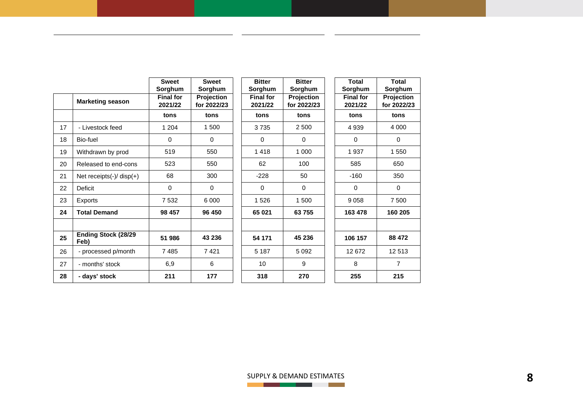|    |                                     | <b>Sweet</b><br>Sorghum     | <b>Sweet</b><br>Sorghum   | <b>Bitter</b><br>Sorghum    | <b>Bitter</b><br>Sorghum  | <b>Total</b><br>Sorghum     | <b>Total</b><br>Sorghum   |
|----|-------------------------------------|-----------------------------|---------------------------|-----------------------------|---------------------------|-----------------------------|---------------------------|
|    | <b>Marketing season</b>             | <b>Final for</b><br>2021/22 | Projection<br>for 2022/23 | <b>Final for</b><br>2021/22 | Projection<br>for 2022/23 | <b>Final for</b><br>2021/22 | Projection<br>for 2022/23 |
|    |                                     | tons                        | tons                      | tons                        | tons                      | tons                        | tons                      |
| 17 | - Livestock feed                    | 1 204                       | 1 500                     | 3735                        | 2 500                     | 4 9 3 9                     | 4 0 0 0                   |
| 18 | Bio-fuel                            | $\mathbf 0$                 | $\Omega$                  | $\Omega$                    | $\Omega$                  | $\Omega$                    | $\Omega$                  |
| 19 | Withdrawn by prod                   | 519                         | 550                       | 1418                        | 1 000                     | 1 9 3 7                     | 1 550                     |
| 20 | Released to end-cons                | 523                         | 550                       | 62                          | 100                       | 585                         | 650                       |
| 21 | Net receipts $(-)/$ disp $(+)$      | 68                          | 300                       | $-228$                      | 50                        | $-160$                      | 350                       |
| 22 | <b>Deficit</b>                      | 0                           | 0                         | 0                           | $\mathbf 0$               | 0                           | $\mathbf 0$               |
| 23 | Exports                             | 7 5 3 2                     | 6 0 0 0                   | 1526                        | 1500                      | 9058                        | 7 500                     |
| 24 | <b>Total Demand</b>                 | 98 457                      | 96 450                    | 65 021                      | 63755                     | 163 478                     | 160 205                   |
| 25 | <b>Ending Stock (28/29)</b><br>Feb) | 51 986                      | 43 236                    | 54 171                      | 45 236                    | 106 157                     | 88 472                    |
| 26 | - processed p/month                 | 7485                        | 7421                      | 5 1 8 7                     | 5 0 9 2                   | 12 672                      | 12513                     |
| 27 | - months' stock                     | 6,9                         | 6                         | 10                          | 9                         | 8                           | $\overline{7}$            |
| 28 | - days' stock                       | 211                         | 177                       | 318                         | 270                       | 255                         | 215                       |

SUPPLY & DEMAND ESTIMATES **8**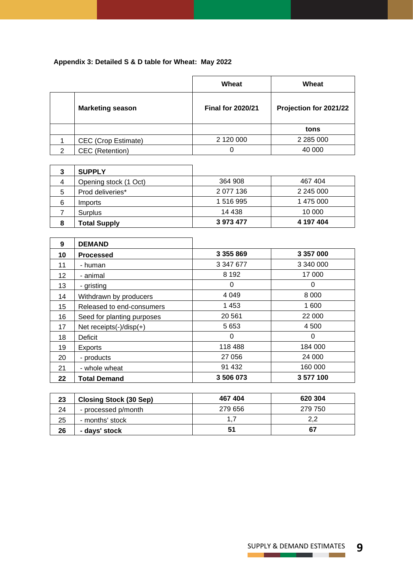# **Appendix 3: Detailed S & D table for Wheat: May 2022**

|   |                         | Wheat                    | Wheat                  |
|---|-------------------------|--------------------------|------------------------|
|   | <b>Marketing season</b> | <b>Final for 2020/21</b> | Projection for 2021/22 |
|   |                         |                          | tons                   |
|   | CEC (Crop Estimate)     | 2 120 000                | 2 2 8 5 0 0 0          |
| 2 | CEC (Retention)         |                          | 40 000                 |

| 3 | <b>SUPPLY</b>         |           |           |
|---|-----------------------|-----------|-----------|
| 4 | Opening stock (1 Oct) | 364 908   | 467 404   |
| 5 | Prod deliveries*      | 2 077 136 | 2 245 000 |
| 6 | Imports               | 1 516 995 | 1 475 000 |
|   | Surplus               | 14 438    | 10 000    |
| 8 | <b>Total Supply</b>   | 3973477   | 4 197 404 |

| 9                 | <b>DEMAND</b>                  |               |           |
|-------------------|--------------------------------|---------------|-----------|
| 10                | <b>Processed</b>               | 3 3 5 5 8 6 9 | 3 357 000 |
| 11                | - human                        | 3 347 677     | 3 340 000 |
| $12 \overline{ }$ | - animal                       | 8 1 9 2       | 17 000    |
| 13                | - gristing                     | 0             | 0         |
| 14                | Withdrawn by producers         | 4 0 4 9       | 8 0 0 0   |
| 15                | Released to end-consumers      | 1453          | 1 600     |
| 16                | Seed for planting purposes     | 20 5 61       | 22 000    |
| 17                | Net receipts $(-)/$ disp $(+)$ | 5 6 5 3       | 4 500     |
| 18                | Deficit                        | $\Omega$      | 0         |
| 19                | Exports                        | 118 488       | 184 000   |
| 20                | - products                     | 27 056        | 24 000    |
| 21                | - whole wheat                  | 91 432        | 160 000   |
| 22                | <b>Total Demand</b>            | 3506073       | 3577100   |

| 23 | <b>Closing Stock (30 Sep)</b> | 467 404 | 620 304 |
|----|-------------------------------|---------|---------|
| 24 | - processed p/month           | 279 656 | 279 750 |
| 25 | - months' stock               | 1.7     | 2.2     |
| 26 | - days' stock                 | 51      | 67      |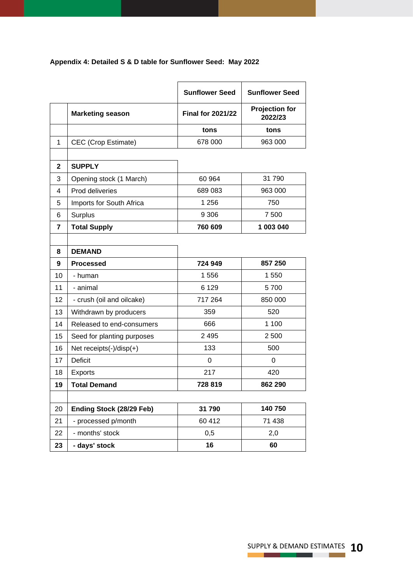|  |  | Appendix 4: Detailed S & D table for Sunflower Seed: May 2022 |  |
|--|--|---------------------------------------------------------------|--|
|--|--|---------------------------------------------------------------|--|

|                |                            | <b>Sunflower Seed</b>    | <b>Sunflower Seed</b>            |
|----------------|----------------------------|--------------------------|----------------------------------|
|                | <b>Marketing season</b>    | <b>Final for 2021/22</b> | <b>Projection for</b><br>2022/23 |
|                |                            | tons                     | tons                             |
| 1              | CEC (Crop Estimate)        | 678 000                  | 963 000                          |
|                |                            |                          |                                  |
| $\mathbf{2}$   | <b>SUPPLY</b>              |                          |                                  |
| 3              | Opening stock (1 March)    | 60 964                   | 31 790                           |
| 4              | Prod deliveries            | 689 083                  | 963 000                          |
| 5              | Imports for South Africa   | 1 256                    | 750                              |
| 6              | Surplus                    | 9 3 0 6                  | 7 500                            |
| $\overline{7}$ | <b>Total Supply</b>        | 760 609                  | 1 003 040                        |
|                |                            |                          |                                  |
| 8              | <b>DEMAND</b>              |                          |                                  |
| 9              | <b>Processed</b>           | 724 949                  | 857 250                          |
| 10             | - human                    | 1556                     | 1 550                            |
| 11             | - animal                   | 6 1 2 9                  | 5700                             |
| 12             | - crush (oil and oilcake)  | 717 264                  | 850 000                          |
| 13             | Withdrawn by producers     | 359                      | 520                              |
| 14             | Released to end-consumers  | 666                      | 1 100                            |
| 15             | Seed for planting purposes | 2 4 9 5                  | 2 500                            |
| 16             | Net receipts(-)/disp(+)    | 133                      | 500                              |
| 17             | <b>Deficit</b>             | 0                        | 0                                |
| 18             | <b>Exports</b>             | 217                      | 420                              |
| 19             | <b>Total Demand</b>        | 728 819                  | 862 290                          |
|                |                            |                          |                                  |
| 20             | Ending Stock (28/29 Feb)   | 31790                    | 140 750                          |
| 21             | - processed p/month        | 60 412                   | 71 438                           |
| 22             | - months' stock            | 0,5                      | 2,0                              |
| 23             | - days' stock              | 16                       | 60                               |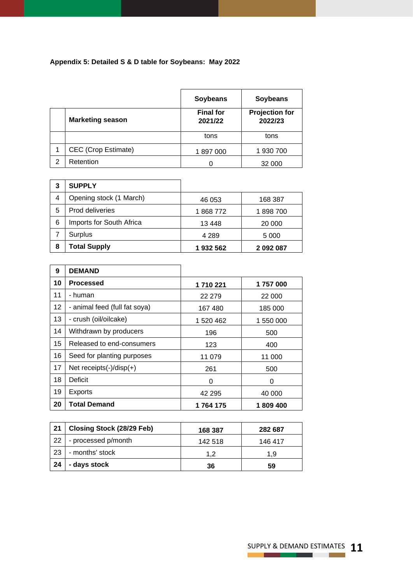# **Appendix 5: Detailed S & D table for Soybeans: May 2022**

|   |                         | <b>Soybeans</b>             | <b>Soybeans</b>                  |
|---|-------------------------|-----------------------------|----------------------------------|
|   | <b>Marketing season</b> | <b>Final for</b><br>2021/22 | <b>Projection for</b><br>2022/23 |
|   |                         | tons                        | tons                             |
|   | CEC (Crop Estimate)     | 1897000                     | 1 930 700                        |
| 2 | Retention               |                             | 32 000                           |

| 3 | <b>SUPPLY</b>            |          |           |
|---|--------------------------|----------|-----------|
| 4 | Opening stock (1 March)  | 46 053   | 168 387   |
| 5 | Prod deliveries          | 1868772  | 1898700   |
| 6 | Imports for South Africa | 13448    | 20 000    |
|   | Surplus                  | 4 2 8 9  | 5 0 0 0   |
| 8 | <b>Total Supply</b>      | 1932 562 | 2 092 087 |

| 9  | <b>DEMAND</b>                  |           |           |
|----|--------------------------------|-----------|-----------|
| 10 | Processed                      | 1710221   | 1757000   |
| 11 | - human                        | 22 279    | 22 000    |
| 12 | - animal feed (full fat soya)  | 167480    | 185 000   |
| 13 | - crush (oil/oilcake)          | 1 520 462 | 1 550 000 |
| 14 | Withdrawn by producers         | 196       | 500       |
| 15 | Released to end-consumers      | 123       | 400       |
| 16 | Seed for planting purposes     | 11 079    | 11 000    |
| 17 | Net receipts $(-)/$ disp $(+)$ | 261       | 500       |
| 18 | Deficit                        | 0         | 0         |
| 19 | <b>Exports</b>                 | 42 295    | 40 000    |
| 20 | <b>Total Demand</b>            | 1764175   | 1809400   |

| 21 | Closing Stock (28/29 Feb) | 168 387 | 282 687 |
|----|---------------------------|---------|---------|
| 22 | - processed p/month       | 142 518 | 146 417 |
| 23 | - months' stock           | 1.2     | 1.9     |
| 24 | - days stock              | 36      | 59      |